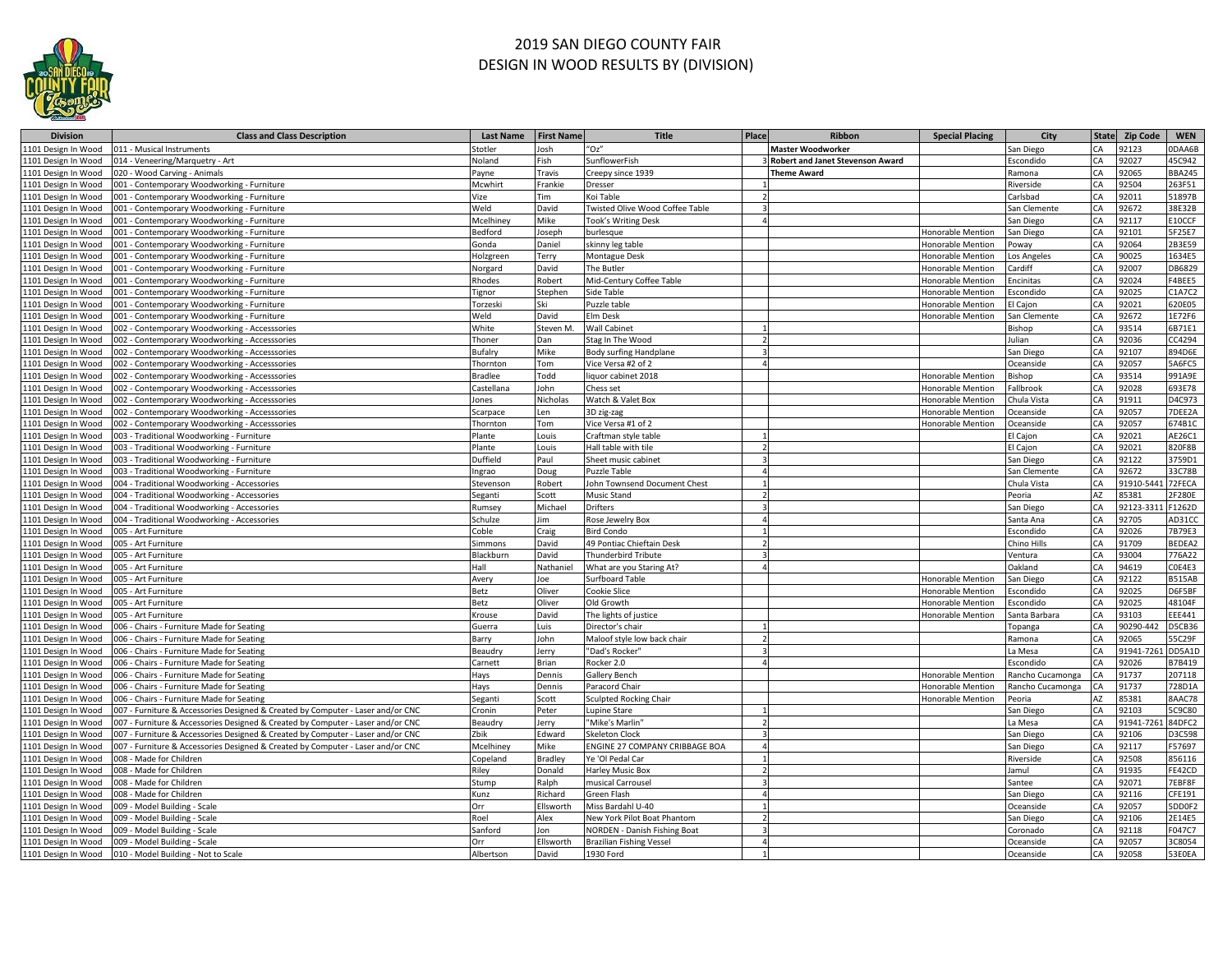

## 2019 SAN DIEGO COUNTY FAIR DESIGN IN WOOD RESULTS BY (DIVISION)

| <b>Division</b>                            | <b>Class and Class Description</b>                                              | Last Name        | <b>First Name</b> | <b>Title</b>                                                       | Place | Ribbon                                  | <b>Special Placing</b>   | City             |          | State Zip Code | <b>WEN</b>       |
|--------------------------------------------|---------------------------------------------------------------------------------|------------------|-------------------|--------------------------------------------------------------------|-------|-----------------------------------------|--------------------------|------------------|----------|----------------|------------------|
| 1101 Design In Wood                        | 011 - Musical Instruments                                                       | totler           | losh              | "Oz"                                                               |       | <b>Master Woodworker</b>                |                          | San Diego        | CA       | 92123          | 0DAA6B           |
| 1101 Design In Wood                        | 14 - Veneering/Marquetry - Art                                                  | Joland           | ish               | SunflowerFish                                                      |       | <b>Robert and Janet Stevenson Award</b> |                          | scondido         | CA       | 92027          | 45C942           |
| 1101 Design In Wood                        | 20 - Wood Carving - Animals                                                     | ayne             | Travis            | Creepy since 1939                                                  |       | <b>Theme Award</b>                      |                          | amona            | CA       | 92065          | <b>BBA245</b>    |
| 1101 Design In Wood                        | 001 - Contemporary Woodworking - Furniture                                      | Mcwhirt          | Frankie           | Dresser                                                            |       |                                         |                          | Riverside        | CA       | 92504          | 263F51           |
| 1101 Design In Wood                        | 001 - Contemporary Woodworking - Furniture                                      | /ize             | Tim               | Koi Table                                                          |       |                                         |                          | Carlsbad         | CA       | 92011          | 51897B           |
| 1101 Design In Wood                        | 001 - Contemporary Woodworking - Furniture                                      | Weld             | David             | Twisted Olive Wood Coffee Table                                    |       |                                         |                          | San Clemente     | CA       | 92672          | 38E32B           |
| 1101 Design In Wood                        | 001 - Contemporary Woodworking - Furniture                                      | Mcelhiney        | Mike              | Took's Writing Desk                                                |       |                                         |                          | San Diego        | CA       | 92117          | E10CCF           |
| 1101 Design In Wood                        | 01 - Contemporary Woodworking - Furniture                                       | edford           | oseph             | burlesque                                                          |       |                                         | Honorable Mention        | an Diego         | CA       | 92101          | 5F25E7           |
| 1101 Design In Wood                        | 001 - Contemporary Woodworking - Furniture                                      | Gonda            | Daniel            | skinny leg table                                                   |       |                                         | Honorable Mention        | 'oway            | CA       | 92064          | 2B3E59           |
| 1101 Design In Wood                        | 001 - Contemporary Woodworking - Furniture                                      | lolzgreen        | Terry             | Montague Desk                                                      |       |                                         | Honorable Mention        | os Angeles       | CA       | 90025          | 1634E5           |
| 1101 Design In Wood                        | 01 - Contemporary Woodworking - Furniture                                       | lorgard          | David             | The Butler                                                         |       |                                         | <b>Honorable Mention</b> | ardiff           | CA       | 92007          | DB6829           |
| 1101 Design In Wood                        | 01 - Contemporary Woodworking - Furniture                                       | hodes            | <b>Robert</b>     | Mid-Century Coffee Table                                           |       |                                         | Honorable Mention        | ncinitas         | CA       | 92024          | F4BEE5           |
| 1101 Design In Wood                        | 001 - Contemporary Woodworking - Furniture                                      | ignor            | Stephen           | Side Table                                                         |       |                                         | Honorable Mention        | scondido         | CA       | 92025          | C1A7C2           |
| 1101 Design In Wood                        | 001 - Contemporary Woodworking - Furniture                                      | Torzeski         | Ski               | Puzzle table                                                       |       |                                         | Honorable Mention        | I Cajon          | CA       | 92021          | 620E05           |
| 1101 Design In Wood                        | 001 - Contemporary Woodworking - Furniture                                      | Weld             | David             | Elm Desk                                                           |       |                                         | Honorable Mention        | San Clemente     | CA       | 92672          | 1E72F6           |
| 1101 Design In Wood                        | 002 - Contemporary Woodworking - Accesssories                                   | White            | Steven M.         | <b>Wall Cabinet</b>                                                |       |                                         |                          | <b>Bishop</b>    | CA       | 93514          | 6B71E1           |
| 1101 Design In Wood                        | 02 - Contemporary Woodworking - Accesssories                                    | Thoner           | Dan               | Stag In The Wood                                                   |       |                                         |                          | ulian            | CA       | 92036          | CC4294           |
| 1101 Design In Wood                        | 002 - Contemporary Woodworking - Accesssories                                   | <b>Bufalry</b>   | Mike              | <b>Body surfing Handplane</b>                                      |       |                                         |                          | San Diego        | CA       | 92107          | 894D6E           |
| 1101 Design In Wood                        | 002 - Contemporary Woodworking - Accesssories                                   | <b>Thornton</b>  | Tom               | Vice Versa #2 of 2                                                 |       |                                         |                          | Oceanside        | CA       | 92057          | 5A6FC5           |
| 1101 Design In Wood                        | 02 - Contemporary Woodworking - Accesssories                                    | radlee           | <b>Todd</b>       | liquor cabinet 2018                                                |       |                                         | Honorable Mention        | lishop           | CA       | 93514          | 991A9E           |
| 1101 Design In Wood                        | 02 - Contemporary Woodworking - Accesssories                                    | `astellana       | lohn              | Chess set                                                          |       |                                         | Honorable Mention        | allbrook         | CA       | 32028          | 693E78           |
| 1101 Design In Wood                        | 02 - Contemporary Woodworking - Accesssories                                    | ones             | Nicholas          | Watch & Valet Box                                                  |       |                                         | Honorable Mentior        | hula Vista       | CA       | 91911          | D4C973           |
| 1101 Design In Wood                        | 002 - Contemporary Woodworking - Accesssories                                   | carpace          | .en               | 3D zig-zag                                                         |       |                                         | Honorable Mention        | <b>Dceanside</b> | CA       | 92057          | 7DEE2A           |
| 1101 Design In Wood                        | 002 - Contemporary Woodworking - Accesssories                                   | Thornton         | Tom               | Vice Versa #1 of 2                                                 |       |                                         | Honorable Mention        | Oceanside        | CA       | 92057          | 674B1C           |
| 1101 Design In Wood                        | 003 - Traditional Woodworking - Furniture                                       | lante            | Louis             | Craftman style table                                               |       |                                         |                          | I Cajon          | CA       | 92021          | AE26C1           |
| 1101 Design In Wood                        | 003 - Traditional Woodworking - Furniture                                       | lante            | Louis             | Hall table with tile                                               |       |                                         |                          | El Cajon         | CA       | 92021          | 820F8B           |
| 1101 Design In Wood                        | 003 - Traditional Woodworking - Furniture                                       | <b>Juffield</b>  | Paul              | Sheet music cabinet                                                |       |                                         |                          | San Diego        | CA       | 92122          | 3759D1           |
| 1101 Design In Wood                        | 003 - Traditional Woodworking - Furniture                                       | ngrao            | Doug              | <b>Puzzle Table</b>                                                |       |                                         |                          | San Clemente     | CA       | 12672          | 33C78B           |
| 1101 Design In Wood                        | 004 - Traditional Woodworking - Accessories                                     | stevenson        | <b>Robert</b>     | John Townsend Document Chest                                       |       |                                         |                          | Chula Vista      | CA       | 91910-54       | 72FECA           |
| 1101 Design In Wood                        | 04 - Traditional Woodworking - Accessories                                      | eganti           | Scott             | Music Stand                                                        |       |                                         |                          | eoria            | AZ       | 5381           | 2F280E           |
| 1101 Design In Wood                        | 004 - Traditional Woodworking - Accessories                                     | <b>Rumsey</b>    | Michael           | Drifters                                                           |       |                                         |                          | an Diego         | CA       | 12123-33       | F1262D           |
| 1101 Design In Wood                        | 004 - Traditional Woodworking - Accessories                                     | chulze           | im                | Rose Jewelry Box                                                   |       |                                         |                          | santa Ana        | CA       | 32705          | AD31CC           |
| 1101 Design In Wood                        | 05 - Art Furniture                                                              | Coble            | Craig             | <b>Bird Condo</b>                                                  |       |                                         |                          | scondido         | CA       | 92026          | 7B79E3           |
| 1101 Design In Wood                        | 005 - Art Furniture                                                             | simmons          | David             | 49 Pontiac Chieftain Desk                                          |       |                                         |                          | Chino Hills      | CA       | 91709          | BEDEA2           |
| 1101 Design In Wood                        | 05 - Art Furniture                                                              | <b>Blackburn</b> | David             | Thunderbird Tribute                                                |       |                                         |                          | entura           | CA       | 93004          | 776A22           |
| 1101 Design In Wood                        | 05 - Art Furniture                                                              | Hall             | Nathaniel         | What are you Staring At?                                           |       |                                         |                          | <b>Jakland</b>   | CA       | 94619          | COE4E3           |
| 1101 Design In Wood                        | 05 - Art Furniture                                                              | Avery            | loe               | <b>Surfboard Table</b>                                             |       |                                         | Honorable Mention        | an Diego         | CA       | 92122          | <b>B515AB</b>    |
| 1101 Design In Wood                        | 05 - Art Furniture                                                              | Betz             | Oliver            | Cookie Slice                                                       |       |                                         | Honorable Mention        | scondido         | CA       | 92025          | D6F5BF           |
| 1101 Design In Wood                        | 05 - Art Furniture                                                              | 3etz             | Oliver            | Old Growth                                                         |       |                                         | Honorable Mentior        | scondido         | CA       | 92025          | 48104F           |
| 1101 Design In Wood                        | 005 - Art Furniture                                                             | rouse            | David             | The lights of justice                                              |       |                                         | Honorable Mention        | anta Barbara     | CA       | 33103          | EEE441           |
| 1101 Design In Wood                        | 006 - Chairs - Furniture Made for Seating                                       | suerra           | uis               | Director's chair                                                   |       |                                         |                          | opanga           | CA       | 0290-44        | D5CB36           |
| 1101 Design In Wood                        | 006 - Chairs - Furniture Made for Seating                                       | larry            | John              | Maloof style low back chair                                        |       |                                         |                          | Ramona           | CA       | 92065          | 55C29F           |
| 1101 Design In Wood                        | 006 - Chairs - Furniture Made for Seating                                       | 3eaudry          | erry              | "Dad's Rocker"                                                     |       |                                         |                          | a Mesa           | CA       | 91941-72       | DD5A1D           |
| 1101 Design In Wood                        | 006 - Chairs - Furniture Made for Seating                                       | Carnett          | Brian             | Rocker 2.0                                                         |       |                                         |                          | Escondido        | CA       | 92026          | B7B419           |
| 1101 Design In Wood                        | 006 - Chairs - Furniture Made for Seating                                       | lays             | Dennis            | <b>Gallery Bench</b>                                               |       |                                         | Honorable Mention        | ancho Cucamonga  | CA       | 91737          | 207118           |
| 1101 Design In Wood                        | 006 - Chairs - Furniture Made for Seating                                       | Hays             | Dennis            | Paracord Chair                                                     |       |                                         | Honorable Mention        | ancho Cucamonga  | CA       | 91737          | 728D1A           |
| 1101 Design In Wood                        | 006 - Chairs - Furniture Made for Seating                                       | Seganti          | Scott             | <b>Sculpted Rocking Chair</b>                                      |       |                                         | Honorable Mention        | eoria            | AZ       | 85381          | 8AAC78           |
| 1101 Design In Wood                        | 07 - Furniture & Accessories Designed & Created by Computer - Laser and/or CNC  | Cronin           | Peter             | Lupine Stare                                                       |       |                                         |                          | an Diego         | CA       | 32103          | 5C9C80           |
| 1101 Design In Wood                        | 007 - Furniture & Accessories Designed & Created by Computer - Laser and/or CNC | eaudry           | erry              | "Mike's Marlin'                                                    |       |                                         |                          | a Mesa           | CA       | 91941-72       | 84DFC2           |
| 1101 Design In Wood                        | 007 - Furniture & Accessories Designed & Created by Computer - Laser and/or CNC | bik!             | dward             | <b>Skeleton Clock</b>                                              |       |                                         |                          | San Diego        | CA       | 92106          | D3C598           |
| 1101 Design In Wood                        | 007 - Furniture & Accessories Designed & Created by Computer - Laser and/or CNC | Mcelhiney        | Mike              | ENGINE 27 COMPANY CRIBBAGE BOA                                     |       |                                         |                          | San Diego        | CA       | 92117          | F57697           |
| 1101 Design In Wood                        | 008 - Made for Children                                                         | Copeland         | Bradley           | Ye 'Ol Pedal Car                                                   |       |                                         |                          | Riverside        | CA       | 92508          | 856116           |
| 1101 Design In Wood                        | 008 - Made for Children                                                         | Riley            | Donald            | <b>Harley Music Box</b>                                            |       |                                         |                          | Jamul            | CA       | 91935          | FE42CD           |
| 1101 Design In Wood                        | 008 - Made for Children                                                         | Stump            | Ralph             | musical Carrousel                                                  |       |                                         |                          | Santee           | CA       | 92071          | 7EBF8F           |
| 1101 Design In Wood                        | 008 - Made for Children                                                         | Kunz             | Richard           | Green Flash                                                        |       |                                         |                          | San Diego        | CA       | 92116          | CFE191           |
| 1101 Design In Wood                        | 09 - Model Building - Scale                                                     | Orr              | Ellsworth         | Miss Bardahl U-40                                                  |       |                                         |                          | Oceanside        | CA       | 92057          | 5DD0F2           |
|                                            |                                                                                 | Roel             | Alex              |                                                                    |       |                                         |                          |                  | CA       |                |                  |
| 1101 Design In Wood<br>1101 Design In Wood | 09 - Model Building - Scale                                                     | Sanford          |                   | New York Pilot Boat Phantom<br><b>NORDEN - Danish Fishing Boat</b> |       |                                         |                          | San Diego        | CA       | 92106<br>92118 | 2E14E5<br>F047C7 |
|                                            | 09 - Model Building - Scale                                                     |                  | lon               |                                                                    |       |                                         |                          | Coronado         |          |                |                  |
| 1101 Design In Wood                        | 09 - Model Building - Scale                                                     | Orr              | Ellsworth         | <b>Brazilian Fishing Vessel</b><br>1930 Ford                       |       |                                         |                          | Oceanside        | CA<br>CA | 32057<br>92058 | 3C8054<br>53E0EA |
| 1101 Design In Wood                        | 010 - Model Building - Not to Scale                                             | Albertson        | David             |                                                                    |       |                                         |                          | Oceanside        |          |                |                  |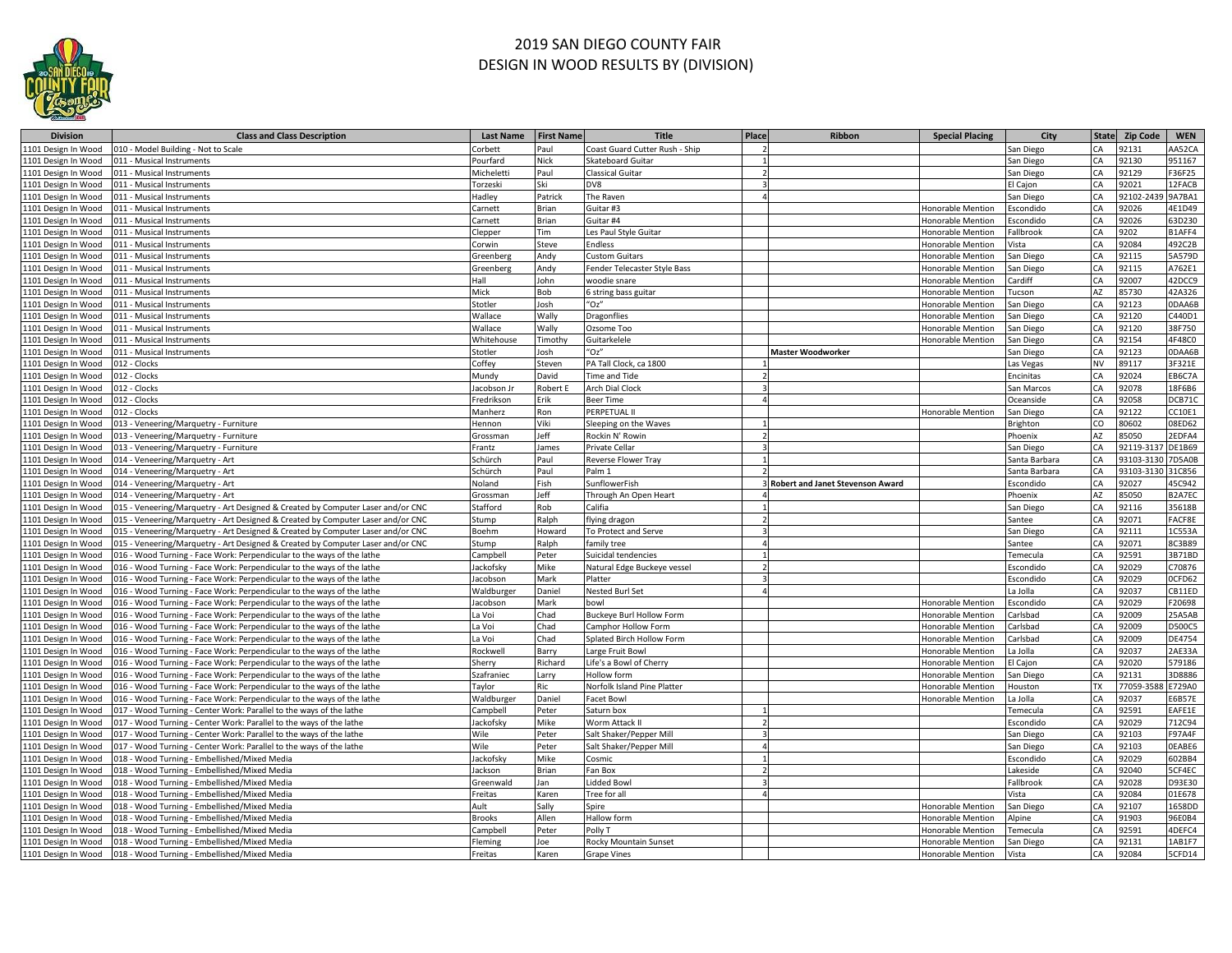

## 2019 SAN DIEGO COUNTY FAIR DESIGN IN WOOD RESULTS BY (DIVISION)

| <b>Division</b>     | <b>Class and Class Description</b>                                              | <b>Last Name</b>  | <b>First Name</b> | <b>Title</b>                    | Place | Ribbon                                  | <b>Special Placing</b>   | City             |           | State Zip Code    | <b>WEN</b>    |
|---------------------|---------------------------------------------------------------------------------|-------------------|-------------------|---------------------------------|-------|-----------------------------------------|--------------------------|------------------|-----------|-------------------|---------------|
| 1101 Design In Wood | 010 - Model Building - Not to Scale                                             | Corbett           | Paul              | Coast Guard Cutter Rush - Ship  |       |                                         |                          | San Diego        | CA        | 92131             | AA52CA        |
| 1101 Design In Wood | 011 - Musical Instruments                                                       | Pourfard          | <b>Vick</b>       | Skateboard Guitar               |       |                                         |                          | San Diego        | CA        | 92130             | 951167        |
| 1101 Design In Wood | 011 - Musical Instruments                                                       | Micheletti        | Paul              | <b>Classical Guitar</b>         |       |                                         |                          | San Diego        | CA        | 92129             | F36F25        |
| 1101 Design In Wood | 011 - Musical Instruments                                                       | Torzeski          | Ski               | DV8                             |       |                                         |                          | I Cajon          | CA        | 92021             | 12FACB        |
| 1101 Design In Wood | 011 - Musical Instruments                                                       | <b>Hadley</b>     | Patrick           | The Raven                       |       |                                         |                          | San Diego        | CA        | 92102-24          | 9A7BA1        |
| 1101 Design In Wood | 011 - Musical Instruments                                                       | Carnett           | Brian             | Guitar #3                       |       |                                         | Honorable Mention        | scondido         | CA        | 92026             | 4E1D49        |
| 1101 Design In Wood | 011 - Musical Instruments                                                       | Carnett           | 3rian             | Guitar #4                       |       |                                         | Honorable Mention        | scondido         | CA        | 92026             | 63D230        |
| 1101 Design In Wood | 011 - Musical Instruments                                                       | Clepper           | Tim               | Les Paul Style Guitar           |       |                                         | Honorable Mention        | allbrook         | CA        | 9202              | B1AFF4        |
| 1101 Design In Wood | 011 - Musical Instruments                                                       | Corwin            | Steve             | Endless                         |       |                                         | Honorable Mention        | lista            | CA        | 92084             | 492C2B        |
| 1101 Design In Wood | 011 - Musical Instruments                                                       | Greenberg         | Andy              | <b>Custom Guitars</b>           |       |                                         | Honorable Mention        | an Diego         | CA        | 92115             | 5A579D        |
| 1101 Design In Wood | 011 - Musical Instruments                                                       | Greenberg         | Andy              | Fender Telecaster Style Bass    |       |                                         | Honorable Mention        | an Diego         | CA        | 92115             | A762E1        |
| 1101 Design In Wood | 011 - Musical Instruments                                                       | Hall              | ohn               | woodie snare                    |       |                                         | Honorable Mentior        | ardiff           | CA        | 92007             | 42DCC9        |
| 1101 Design In Wood | 011 - Musical Instruments                                                       | Mick              | Bob               | 6 string bass guitar            |       |                                         | Honorable Mention        | ucson            | AZ        | 85730             | 42A326        |
| 1101 Design In Wood | 011 - Musical Instruments                                                       | stotler           | losh              | "Oz"                            |       |                                         | Honorable Mention        | an Diego         | CA        | 92123             | ODAA6B        |
| 1101 Design In Wood | 011 - Musical Instruments                                                       | Nallace           | Wally             | Dragonflies                     |       |                                         | Honorable Mention        | an Diego         | CA        | 92120             | C440D1        |
| 1101 Design In Wood | 011 - Musical Instruments                                                       | <b>Nallace</b>    | <b>Nally</b>      | Ozsome Too                      |       |                                         | Honorable Mention        | an Diego         | CA        | 92120             | 38F750        |
| 1101 Design In Wood | 011 - Musical Instruments                                                       | Whitehouse        | <b>Timoth</b>     | Guitarkelele                    |       |                                         | Honorable Mention        | an Diego         | CA        | 92154             | 4F48C0        |
| 1101 Design In Wood | 011 - Musical Instruments                                                       | stotler           | osh               | "Oz"                            |       | <b>Master Woodworker</b>                |                          | an Diego         | CA        | 92123             | 0DAA6B        |
| 1101 Design In Wood | 012 - Clocks                                                                    | Coffey            | Steven            | PA Tall Clock, ca 1800          |       |                                         |                          | as Vegas         | <b>NV</b> | 89117             | 3F321E        |
| 1101 Design In Wood | 012 - Clocks                                                                    | Mundy             | David             | <b>Time and Tide</b>            |       |                                         |                          | <b>Incinitas</b> | CA        | 92024             | EB6C7A        |
| 1101 Design In Wood | 012 - Clocks                                                                    | acobson Jr        | obert E           | <b>Arch Dial Clock</b>          |       |                                         |                          | an Marcos        | CA        | 92078             | 18F6B6        |
| 1101 Design In Wood | 012 - Clocks                                                                    | Fredrikson        | :rik              | <b>Beer Time</b>                |       |                                         |                          | <b>Oceanside</b> | CA        | 92058             | DCB71C        |
| 1101 Design In Wood | 012 - Clocks                                                                    | Manherz           | የon               | PERPETUAL II                    |       |                                         | Honorable Mention        | an Diego         | CA        | 92122             | CC10E1        |
| 1101 Design In Wood | 013 - Veneering/Marquetry - Furniture                                           | lennon            | /iki              | Sleeping on the Waves           |       |                                         |                          | <b>Irighton</b>  | CO        | 30602             | 08ED62        |
| 1101 Design In Wood | 013 - Veneering/Marquetry - Furniture                                           | Grossman          | eff               | Rockin N' Rowin                 |       |                                         |                          | hoenix           | <b>AZ</b> | 35050             | 2EDFA4        |
| 1101 Design In Wood | 013 - Veneering/Marquetry - Furniture                                           | Frantz            | ames              | Private Cellar                  |       |                                         |                          | san Diego        | CA        | 92119-31          | <b>DE1B69</b> |
| 1101 Design In Wood | 014 - Veneering/Marquetry - Art                                                 | Schürch           | aul               | Reverse Flower Tray             |       |                                         |                          | Santa Barbara    | CA        | 93103-3130 7D5A0B |               |
| 1101 Design In Wood | 014 - Veneering/Marquetry - Art                                                 | Schürch           | Paul              | Palm 1                          |       |                                         |                          | Santa Barbara    | CA        | 93103-3130        | 31C856        |
| 1101 Design In Wood | 014 - Veneering/Marquetry - Art                                                 | Voland            | Fish              | SunflowerFish                   |       | <b>Robert and Janet Stevenson Award</b> |                          | <b>Escondido</b> | CA        | 92027             | 45C942        |
| 1101 Design In Wood | 014 - Veneering/Marquetry - Art                                                 | Grossman          | Jeff              | Through An Open Heart           |       |                                         |                          | hoenix           | AZ        | 85050             | B2A7EC        |
| 1101 Design In Wood | 015 - Veneering/Marquetry - Art Designed & Created by Computer Laser and/or CNC | Stafford          | Rob               | Califia                         |       |                                         |                          | san Diego        | CA        | 92116             | 35618B        |
| 1101 Design In Wood | 015 - Veneering/Marquetry - Art Designed & Created by Computer Laser and/or CNC | stump             | alph              | flying dragon                   |       |                                         |                          | Santee           | CA        | 92071             | FACF8E        |
| 1101 Design In Wood | 015 - Veneering/Marquetry - Art Designed & Created by Computer Laser and/or CNC | 3oehm             | loward            | To Protect and Serve            |       |                                         |                          | an Diego         | CA        | 92111             | 1C553A        |
| 1101 Design In Wood | 015 - Veneering/Marquetry - Art Designed & Created by Computer Laser and/or CNC | stump             | alph              | family tree                     |       |                                         |                          | antee            | CA        | 92071             | <b>BC3B89</b> |
| 1101 Design In Wood | 016 - Wood Turning - Face Work: Perpendicular to the ways of the lathe          | Campbell          | eter              | Suicidal tendencies             |       |                                         |                          | emecula          | CA        | 92591             | 3B71BD        |
| 1101 Design In Wood | 016 - Wood Turning - Face Work: Perpendicular to the ways of the lathe          | ackofsky          | Mike              | Natural Edge Buckeye vessel     |       |                                         |                          | scondido         | CA        | 92029             | C70876        |
| 1101 Design In Wood | 016 - Wood Turning - Face Work: Perpendicular to the ways of the lathe          | acobson           | Mark              | Platter                         |       |                                         |                          | scondido         | CA        | 92029             | OCFD62        |
| 1101 Design In Wood | 016 - Wood Turning - Face Work: Perpendicular to the ways of the lathe          | Waldburger        | Daniel            | Nested Burl Set                 |       |                                         |                          | a Jolla.         | CA        | 92037             | CB11ED        |
| 1101 Design In Wood | 016 - Wood Turning - Face Work: Perpendicular to the ways of the lathe          | acobson           | Mark              | howl                            |       |                                         | Honorable Mentior        | scondido         | CA        | 92029             | F20698        |
| 1101 Design In Wood | 016 - Wood Turning - Face Work: Perpendicular to the ways of the lathe          | a Voi             | Chad              | <b>Buckeye Burl Hollow Form</b> |       |                                         | Honorable Mention        | arlsbad          | CA        | 92009             | 25A5AB        |
| 1101 Design In Wood | 016 - Wood Turning - Face Work: Perpendicular to the ways of the lathe          | a Voi             | Chad              | Camphor Hollow Form             |       |                                         | Honorable Mention        | arlsbad          | CA        | 92009             | <b>D500C5</b> |
| 1101 Design In Wood | 016 - Wood Turning - Face Work: Perpendicular to the ways of the lathe          | a Voi             | Chad              | Splated Birch Hollow Form       |       |                                         | <b>Honorable Mention</b> | arlsbad          | CA        | 92009             | DE4754        |
| 1101 Design In Wood | 016 - Wood Turning - Face Work: Perpendicular to the ways of the lathe          | <b>Rockwell</b>   | Barry             | Large Fruit Bowl                |       |                                         | Honorable Mentior        | a Jolla          | CA        | 92037             | 2AE33A        |
| 1101 Design In Wood | 016 - Wood Turning - Face Work: Perpendicular to the ways of the lathe          | Sherry            | Richard           | Life's a Bowl of Cherry         |       |                                         | Honorable Mention        | Cajon            | CA        | 92020             | 579186        |
| 1101 Design In Wood | 016 - Wood Turning - Face Work: Perpendicular to the ways of the lathe          | zafraniec         | .arry             | Hollow form                     |       |                                         | Honorable Mention        | an Diego         | CA        | 92131             | 3D8886        |
| 1101 Design In Wood | 016 - Wood Turning - Face Work: Perpendicular to the ways of the lathe          | Taylor            | Ric               | Norfolk Island Pine Platter     |       |                                         | Honorable Mention        | louston          | <b>TX</b> | 77059-35          | E729A0        |
| 1101 Design In Wood | 016 - Wood Turning - Face Work: Perpendicular to the ways of the lathe          | <b>Naldburger</b> | Daniel            | Facet Bowl                      |       |                                         | Honorable Mention        | a Jolla          | CA        | 92037             | E6B57E        |
| 1101 Design In Wood | 017 - Wood Turning - Center Work: Parallel to the ways of the lathe             | Campbell          | eter              | Saturn box                      |       |                                         |                          | emecula          | CA        | 92591             | EAFE1E        |
| 1101 Design In Wood | 017 - Wood Turning - Center Work: Parallel to the ways of the lathe             | ackofsky          | Mike              | Worm Attack II                  |       |                                         |                          | scondido         | CA        | 92029             | 712C94        |
| 1101 Design In Wood | 017 - Wood Turning - Center Work: Parallel to the ways of the lathe             | Nile              | eter              | Salt Shaker/Pepper Mill         |       |                                         |                          | San Diego        | CA        | 92103             | F97A4F        |
| 1101 Design In Wood | 017 - Wood Turning - Center Work: Parallel to the ways of the lathe             | Nile              | eter              | Salt Shaker/Pepper Mill         |       |                                         |                          | an Diego         |           | 2103              | OEABE6        |
| 1101 Design In Wood | 018 - Wood Turning - Embellished/Mixed Media                                    | ackofsky          | Mike              | Cosmic                          |       |                                         |                          | scondido         | CA        | 92029             | 602BB4        |
| 1101 Design In Wood | 018 - Wood Turning - Embellished/Mixed Media                                    | ackson            | 3rian             | Fan Box                         |       |                                         |                          | akeside          | CA        | 92040             | 5CF4EC        |
| 1101 Design In Wood | 018 - Wood Turning - Embellished/Mixed Media                                    | Greenwald         | lan               | <b>Lidded Bowl</b>              |       |                                         |                          | allbrook         | CA        | 92028             | D93E30        |
| 1101 Design In Wood | 018 - Wood Turning - Embellished/Mixed Media                                    | Freitas           | Karen             | Tree for all                    |       |                                         |                          | /ista            | CA        | 92084             | 01E678        |
| 1101 Design In Wood | 018 - Wood Turning - Embellished/Mixed Media                                    | Ault              | Sally             | Spire                           |       |                                         | Honorable Mention        | San Diego        | CA        | 92107             | 1658DD        |
| 1101 Design In Wood | 018 - Wood Turning - Embellished/Mixed Media                                    | <b>Brooks</b>     | Allen             | Hallow form                     |       |                                         | Honorable Mentior        | lpine            | CA        | 91903             | 96E0B4        |
| 1101 Design In Wood | 018 - Wood Turning - Embellished/Mixed Media                                    | Campbell          | 'eter             | Polly T                         |       |                                         | Honorable Mention        | emecula          | CA        | 92591             | 4DEFC4        |
| 1101 Design In Wood | 018 - Wood Turning - Embellished/Mixed Media                                    | <b>Ieming</b>     | oe                | Rocky Mountain Sunset           |       |                                         | Honorable Mention        | an Diego         | CA        | 92131             | 1AB1F7        |
| 1101 Design In Wood | 018 - Wood Turning - Embellished/Mixed Media                                    | reitas            | Karen             | <b>Grape Vines</b>              |       |                                         | Honorable Mention        | ista             | CA        | 92084             | 5CFD14        |
|                     |                                                                                 |                   |                   |                                 |       |                                         |                          |                  |           |                   |               |